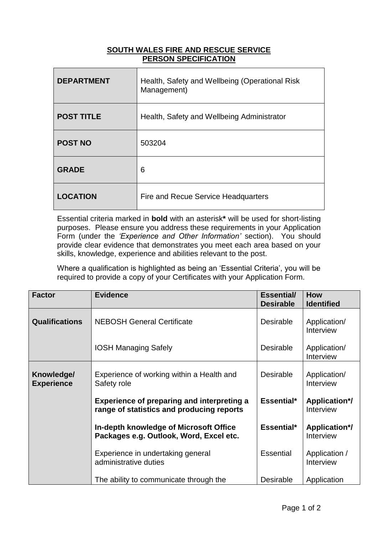## **SOUTH WALES FIRE AND RESCUE SERVICE PERSON SPECIFICATION**

| <b>DEPARTMENT</b> | Health, Safety and Wellbeing (Operational Risk<br>Management) |
|-------------------|---------------------------------------------------------------|
| <b>POST TITLE</b> | Health, Safety and Wellbeing Administrator                    |
| <b>POST NO</b>    | 503204                                                        |
| <b>GRADE</b>      | 6                                                             |
| <b>LOCATION</b>   | <b>Fire and Recue Service Headquarters</b>                    |

Essential criteria marked in **bold** with an asterisk**\*** will be used for short-listing purposes. Please ensure you address these requirements in your Application Form (under the *'Experience and Other Information'* section). You should provide clear evidence that demonstrates you meet each area based on your skills, knowledge, experience and abilities relevant to the post.

Where a qualification is highlighted as being an 'Essential Criteria', you will be required to provide a copy of your Certificates with your Application Form.

| <b>Factor</b>                   | <b>Evidence</b>                                                                                | <b>Essential/</b><br><b>Desirable</b> | <b>How</b><br><b>Identified</b>   |
|---------------------------------|------------------------------------------------------------------------------------------------|---------------------------------------|-----------------------------------|
| <b>Qualifications</b>           | <b>NEBOSH General Certificate</b>                                                              | <b>Desirable</b>                      | Application/<br>Interview         |
|                                 | <b>IOSH Managing Safely</b>                                                                    | <b>Desirable</b>                      | Application/<br>Interview         |
| Knowledge/<br><b>Experience</b> | Experience of working within a Health and<br>Safety role                                       | <b>Desirable</b>                      | Application/<br>Interview         |
|                                 | <b>Experience of preparing and interpreting a</b><br>range of statistics and producing reports | Essential*                            | <b>Application*/</b><br>Interview |
|                                 | In-depth knowledge of Microsoft Office<br>Packages e.g. Outlook, Word, Excel etc.              | Essential*                            | <b>Application*/</b><br>Interview |
|                                 | Experience in undertaking general<br>administrative duties                                     | <b>Essential</b>                      | Application /<br>Interview        |
|                                 | The ability to communicate through the                                                         | <b>Desirable</b>                      | Application                       |